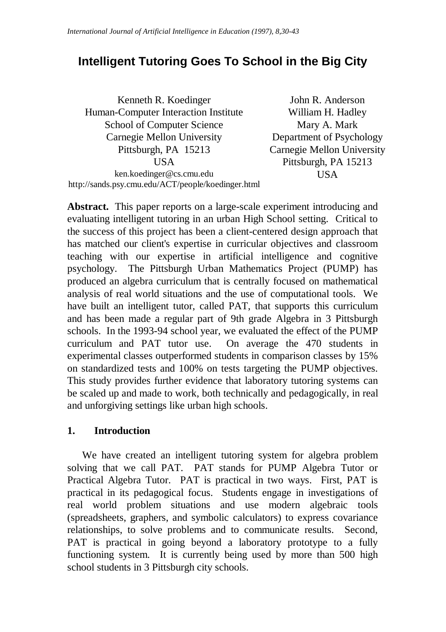# **Intelligent Tutoring Goes To School in the Big City**

Kenneth R. Koedinger Human-Computer Interaction Institute School of Computer Science Carnegie Mellon University Pittsburgh, PA 15213 **USA** ken.koedinger@cs.cmu.edu http://sands.psy.cmu.edu/ACT/people/koedinger.html

John R. Anderson William H. Hadley Mary A. Mark Department of Psychology Carnegie Mellon University Pittsburgh, PA 15213 USA

**Abstract.** This paper reports on a large-scale experiment introducing and evaluating intelligent tutoring in an urban High School setting. Critical to the success of this project has been a client-centered design approach that has matched our client's expertise in curricular objectives and classroom teaching with our expertise in artificial intelligence and cognitive psychology. The Pittsburgh Urban Mathematics Project (PUMP) has produced an algebra curriculum that is centrally focused on mathematical analysis of real world situations and the use of computational tools. We have built an intelligent tutor, called PAT, that supports this curriculum and has been made a regular part of 9th grade Algebra in 3 Pittsburgh schools. In the 1993-94 school year, we evaluated the effect of the PUMP curriculum and PAT tutor use. On average the 470 students in experimental classes outperformed students in comparison classes by 15% on standardized tests and 100% on tests targeting the PUMP objectives. This study provides further evidence that laboratory tutoring systems can be scaled up and made to work, both technically and pedagogically, in real and unforgiving settings like urban high schools.

#### **1. Introduction**

We have created an intelligent tutoring system for algebra problem solving that we call PAT. PAT stands for PUMP Algebra Tutor or Practical Algebra Tutor. PAT is practical in two ways. First, PAT is practical in its pedagogical focus. Students engage in investigations of real world problem situations and use modern algebraic tools (spreadsheets, graphers, and symbolic calculators) to express covariance relationships, to solve problems and to communicate results. Second, PAT is practical in going beyond a laboratory prototype to a fully functioning system. It is currently being used by more than 500 high school students in 3 Pittsburgh city schools.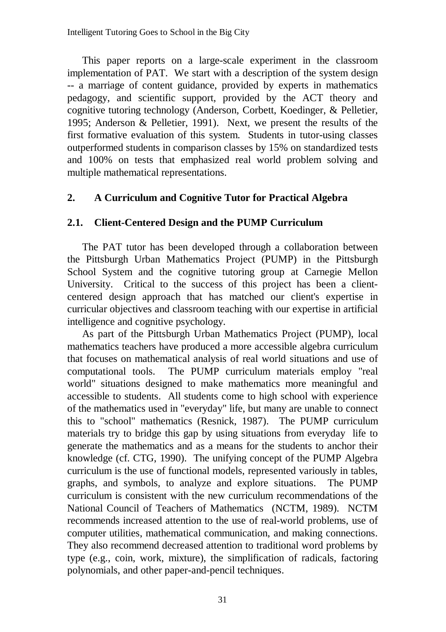This paper reports on a large-scale experiment in the classroom implementation of PAT. We start with a description of the system design -- a marriage of content guidance, provided by experts in mathematics pedagogy, and scientific support, provided by the ACT theory and cognitive tutoring technology (Anderson, Corbett, Koedinger, & Pelletier, 1995; Anderson & Pelletier, 1991). Next, we present the results of the first formative evaluation of this system. Students in tutor-using classes outperformed students in comparison classes by 15% on standardized tests and 100% on tests that emphasized real world problem solving and multiple mathematical representations.

#### **2. A Curriculum and Cognitive Tutor for Practical Algebra**

#### **2.1. Client-Centered Design and the PUMP Curriculum**

The PAT tutor has been developed through a collaboration between the Pittsburgh Urban Mathematics Project (PUMP) in the Pittsburgh School System and the cognitive tutoring group at Carnegie Mellon University. Critical to the success of this project has been a clientcentered design approach that has matched our client's expertise in curricular objectives and classroom teaching with our expertise in artificial intelligence and cognitive psychology.

As part of the Pittsburgh Urban Mathematics Project (PUMP), local mathematics teachers have produced a more accessible algebra curriculum that focuses on mathematical analysis of real world situations and use of computational tools. The PUMP curriculum materials employ "real world" situations designed to make mathematics more meaningful and accessible to students. All students come to high school with experience of the mathematics used in "everyday" life, but many are unable to connect this to "school" mathematics (Resnick, 1987). The PUMP curriculum materials try to bridge this gap by using situations from everyday life to generate the mathematics and as a means for the students to anchor their knowledge (cf. CTG, 1990). The unifying concept of the PUMP Algebra curriculum is the use of functional models, represented variously in tables, graphs, and symbols, to analyze and explore situations. The PUMP curriculum is consistent with the new curriculum recommendations of the National Council of Teachers of Mathematics (NCTM, 1989). NCTM recommends increased attention to the use of real-world problems, use of computer utilities, mathematical communication, and making connections. They also recommend decreased attention to traditional word problems by type (e.g., coin, work, mixture), the simplification of radicals, factoring polynomials, and other paper-and-pencil techniques.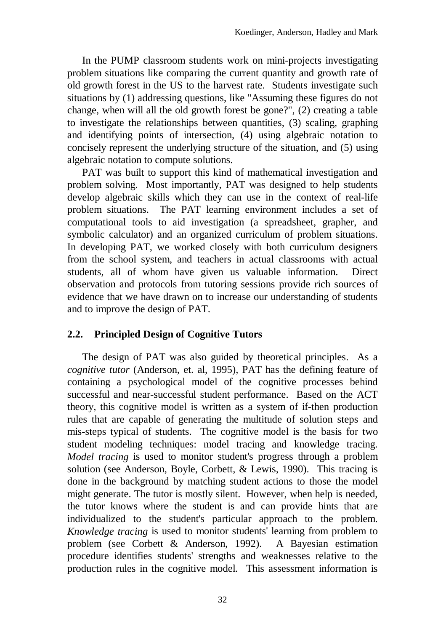In the PUMP classroom students work on mini-projects investigating problem situations like comparing the current quantity and growth rate of old growth forest in the US to the harvest rate. Students investigate such situations by (1) addressing questions, like "Assuming these figures do not change, when will all the old growth forest be gone?", (2) creating a table to investigate the relationships between quantities, (3) scaling, graphing and identifying points of intersection, (4) using algebraic notation to concisely represent the underlying structure of the situation, and (5) using algebraic notation to compute solutions.

PAT was built to support this kind of mathematical investigation and problem solving. Most importantly, PAT was designed to help students develop algebraic skills which they can use in the context of real-life problem situations. The PAT learning environment includes a set of computational tools to aid investigation (a spreadsheet, grapher, and symbolic calculator) and an organized curriculum of problem situations. In developing PAT, we worked closely with both curriculum designers from the school system, and teachers in actual classrooms with actual students, all of whom have given us valuable information. Direct observation and protocols from tutoring sessions provide rich sources of evidence that we have drawn on to increase our understanding of students and to improve the design of PAT.

# **2.2. Principled Design of Cognitive Tutors**

The design of PAT was also guided by theoretical principles. As a *cognitive tutor* (Anderson, et. al, 1995), PAT has the defining feature of containing a psychological model of the cognitive processes behind successful and near-successful student performance. Based on the ACT theory, this cognitive model is written as a system of if-then production rules that are capable of generating the multitude of solution steps and mis-steps typical of students. The cognitive model is the basis for two student modeling techniques: model tracing and knowledge tracing. *Model tracing* is used to monitor student's progress through a problem solution (see Anderson, Boyle, Corbett, & Lewis, 1990). This tracing is done in the background by matching student actions to those the model might generate. The tutor is mostly silent. However, when help is needed, the tutor knows where the student is and can provide hints that are individualized to the student's particular approach to the problem. *Knowledge tracing* is used to monitor students' learning from problem to problem (see Corbett & Anderson, 1992). A Bayesian estimation procedure identifies students' strengths and weaknesses relative to the production rules in the cognitive model. This assessment information is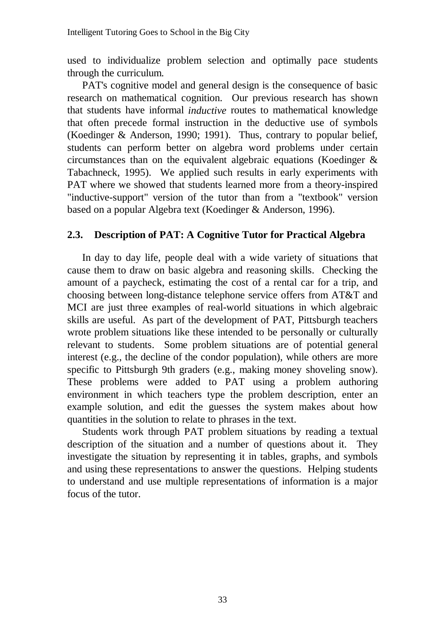used to individualize problem selection and optimally pace students through the curriculum.

PAT's cognitive model and general design is the consequence of basic research on mathematical cognition. Our previous research has shown that students have informal *inductive* routes to mathematical knowledge that often precede formal instruction in the deductive use of symbols (Koedinger & Anderson, 1990; 1991). Thus, contrary to popular belief, students can perform better on algebra word problems under certain circumstances than on the equivalent algebraic equations (Koedinger  $\&$ Tabachneck, 1995). We applied such results in early experiments with PAT where we showed that students learned more from a theory-inspired "inductive-support" version of the tutor than from a "textbook" version based on a popular Algebra text (Koedinger & Anderson, 1996).

## **2.3. Description of PAT: A Cognitive Tutor for Practical Algebra**

In day to day life, people deal with a wide variety of situations that cause them to draw on basic algebra and reasoning skills. Checking the amount of a paycheck, estimating the cost of a rental car for a trip, and choosing between long-distance telephone service offers from AT&T and MCI are just three examples of real-world situations in which algebraic skills are useful. As part of the development of PAT, Pittsburgh teachers wrote problem situations like these intended to be personally or culturally relevant to students. Some problem situations are of potential general interest (e.g., the decline of the condor population), while others are more specific to Pittsburgh 9th graders (e.g., making money shoveling snow). These problems were added to PAT using a problem authoring environment in which teachers type the problem description, enter an example solution, and edit the guesses the system makes about how quantities in the solution to relate to phrases in the text.

Students work through PAT problem situations by reading a textual description of the situation and a number of questions about it. They investigate the situation by representing it in tables, graphs, and symbols and using these representations to answer the questions. Helping students to understand and use multiple representations of information is a major focus of the tutor.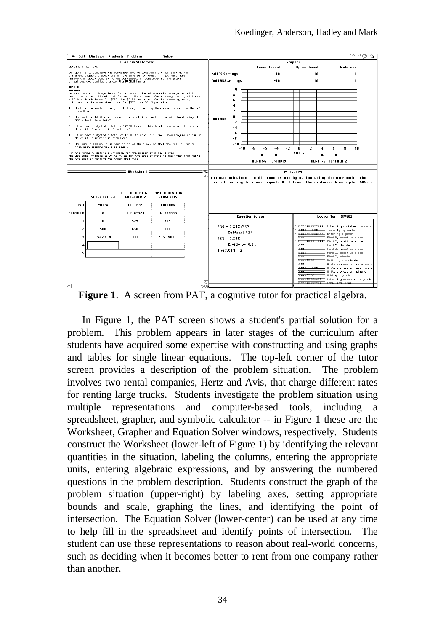

**Figure 1**. A screen from PAT, a cognitive tutor for practical algebra.

In Figure 1, the PAT screen shows a student's partial solution for a problem. This problem appears in later stages of the curriculum after students have acquired some expertise with constructing and using graphs and tables for single linear equations. The top-left corner of the tutor screen provides a description of the problem situation. The problem involves two rental companies, Hertz and Avis, that charge different rates for renting large trucks. Students investigate the problem situation using multiple representations and computer-based tools, including a spreadsheet, grapher, and symbolic calculator -- in Figure 1 these are the Worksheet, Grapher and Equation Solver windows, respectively. Students construct the Worksheet (lower-left of Figure 1) by identifying the relevant quantities in the situation, labeling the columns, entering the appropriate units, entering algebraic expressions, and by answering the numbered questions in the problem description. Students construct the graph of the problem situation (upper-right) by labeling axes, setting appropriate bounds and scale, graphing the lines, and identifying the point of intersection. The Equation Solver (lower-center) can be used at any time to help fill in the spreadsheet and identify points of intersection. The student can use these representations to reason about real-world concerns, such as deciding when it becomes better to rent from one company rather than another.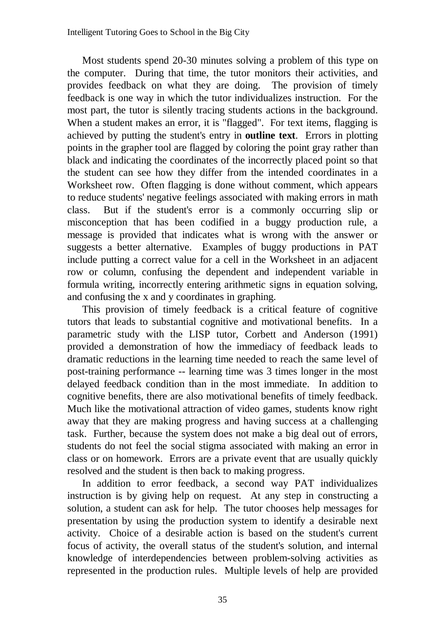Most students spend 20-30 minutes solving a problem of this type on the computer. During that time, the tutor monitors their activities, and provides feedback on what they are doing. The provision of timely feedback is one way in which the tutor individualizes instruction. For the most part, the tutor is silently tracing students actions in the background. When a student makes an error, it is "flagged". For text items, flagging is achieved by putting the student's entry in **outline text**. Errors in plotting points in the grapher tool are flagged by coloring the point gray rather than black and indicating the coordinates of the incorrectly placed point so that the student can see how they differ from the intended coordinates in a Worksheet row. Often flagging is done without comment, which appears to reduce students' negative feelings associated with making errors in math class. But if the student's error is a commonly occurring slip or misconception that has been codified in a buggy production rule, a message is provided that indicates what is wrong with the answer or suggests a better alternative. Examples of buggy productions in PAT include putting a correct value for a cell in the Worksheet in an adjacent row or column, confusing the dependent and independent variable in formula writing, incorrectly entering arithmetic signs in equation solving, and confusing the x and y coordinates in graphing.

This provision of timely feedback is a critical feature of cognitive tutors that leads to substantial cognitive and motivational benefits. In a parametric study with the LISP tutor, Corbett and Anderson (1991) provided a demonstration of how the immediacy of feedback leads to dramatic reductions in the learning time needed to reach the same level of post-training performance -- learning time was 3 times longer in the most delayed feedback condition than in the most immediate. In addition to cognitive benefits, there are also motivational benefits of timely feedback. Much like the motivational attraction of video games, students know right away that they are making progress and having success at a challenging task. Further, because the system does not make a big deal out of errors, students do not feel the social stigma associated with making an error in class or on homework. Errors are a private event that are usually quickly resolved and the student is then back to making progress.

In addition to error feedback, a second way PAT individualizes instruction is by giving help on request. At any step in constructing a solution, a student can ask for help. The tutor chooses help messages for presentation by using the production system to identify a desirable next activity. Choice of a desirable action is based on the student's current focus of activity, the overall status of the student's solution, and internal knowledge of interdependencies between problem-solving activities as represented in the production rules. Multiple levels of help are provided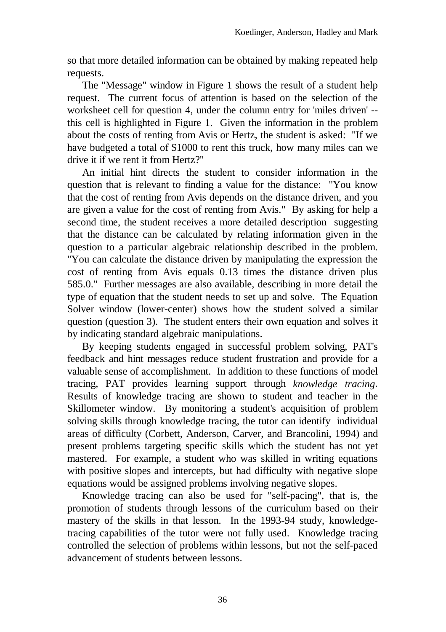so that more detailed information can be obtained by making repeated help requests.

The "Message" window in Figure 1 shows the result of a student help request. The current focus of attention is based on the selection of the worksheet cell for question 4, under the column entry for 'miles driven' - this cell is highlighted in Figure 1. Given the information in the problem about the costs of renting from Avis or Hertz, the student is asked: "If we have budgeted a total of \$1000 to rent this truck, how many miles can we drive it if we rent it from Hertz?"

An initial hint directs the student to consider information in the question that is relevant to finding a value for the distance: "You know that the cost of renting from Avis depends on the distance driven, and you are given a value for the cost of renting from Avis." By asking for help a second time, the student receives a more detailed description suggesting that the distance can be calculated by relating information given in the question to a particular algebraic relationship described in the problem. "You can calculate the distance driven by manipulating the expression the cost of renting from Avis equals 0.13 times the distance driven plus 585.0." Further messages are also available, describing in more detail the type of equation that the student needs to set up and solve. The Equation Solver window (lower-center) shows how the student solved a similar question (question 3). The student enters their own equation and solves it by indicating standard algebraic manipulations.

By keeping students engaged in successful problem solving, PAT's feedback and hint messages reduce student frustration and provide for a valuable sense of accomplishment. In addition to these functions of model tracing, PAT provides learning support through *knowledge tracing*. Results of knowledge tracing are shown to student and teacher in the Skillometer window. By monitoring a student's acquisition of problem solving skills through knowledge tracing, the tutor can identify individual areas of difficulty (Corbett, Anderson, Carver, and Brancolini, 1994) and present problems targeting specific skills which the student has not yet mastered. For example, a student who was skilled in writing equations with positive slopes and intercepts, but had difficulty with negative slope equations would be assigned problems involving negative slopes.

Knowledge tracing can also be used for "self-pacing", that is, the promotion of students through lessons of the curriculum based on their mastery of the skills in that lesson. In the 1993-94 study, knowledgetracing capabilities of the tutor were not fully used. Knowledge tracing controlled the selection of problems within lessons, but not the self-paced advancement of students between lessons.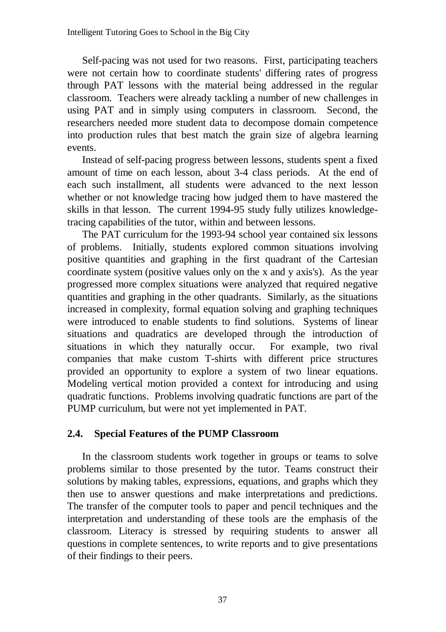Self-pacing was not used for two reasons. First, participating teachers were not certain how to coordinate students' differing rates of progress through PAT lessons with the material being addressed in the regular classroom. Teachers were already tackling a number of new challenges in using PAT and in simply using computers in classroom. Second, the researchers needed more student data to decompose domain competence into production rules that best match the grain size of algebra learning events.

Instead of self-pacing progress between lessons, students spent a fixed amount of time on each lesson, about 3-4 class periods. At the end of each such installment, all students were advanced to the next lesson whether or not knowledge tracing how judged them to have mastered the skills in that lesson. The current 1994-95 study fully utilizes knowledgetracing capabilities of the tutor, within and between lessons.

The PAT curriculum for the 1993-94 school year contained six lessons of problems. Initially, students explored common situations involving positive quantities and graphing in the first quadrant of the Cartesian coordinate system (positive values only on the x and y axis's). As the year progressed more complex situations were analyzed that required negative quantities and graphing in the other quadrants. Similarly, as the situations increased in complexity, formal equation solving and graphing techniques were introduced to enable students to find solutions. Systems of linear situations and quadratics are developed through the introduction of situations in which they naturally occur. For example, two rival companies that make custom T-shirts with different price structures provided an opportunity to explore a system of two linear equations. Modeling vertical motion provided a context for introducing and using quadratic functions. Problems involving quadratic functions are part of the PUMP curriculum, but were not yet implemented in PAT.

# **2.4. Special Features of the PUMP Classroom**

In the classroom students work together in groups or teams to solve problems similar to those presented by the tutor. Teams construct their solutions by making tables, expressions, equations, and graphs which they then use to answer questions and make interpretations and predictions. The transfer of the computer tools to paper and pencil techniques and the interpretation and understanding of these tools are the emphasis of the classroom. Literacy is stressed by requiring students to answer all questions in complete sentences, to write reports and to give presentations of their findings to their peers.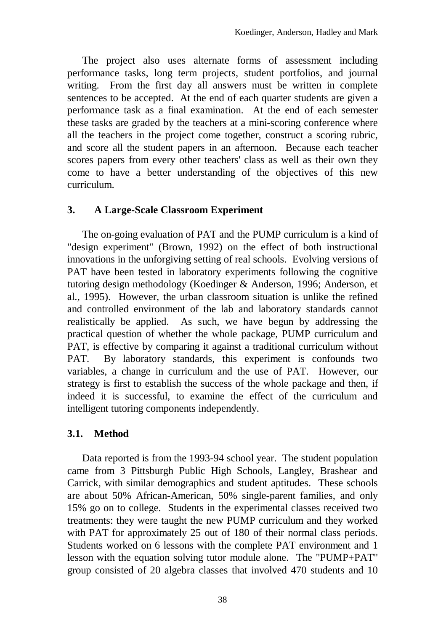The project also uses alternate forms of assessment including performance tasks, long term projects, student portfolios, and journal writing. From the first day all answers must be written in complete sentences to be accepted. At the end of each quarter students are given a performance task as a final examination. At the end of each semester these tasks are graded by the teachers at a mini-scoring conference where all the teachers in the project come together, construct a scoring rubric, and score all the student papers in an afternoon. Because each teacher scores papers from every other teachers' class as well as their own they come to have a better understanding of the objectives of this new curriculum.

## **3. A Large-Scale Classroom Experiment**

The on-going evaluation of PAT and the PUMP curriculum is a kind of "design experiment" (Brown, 1992) on the effect of both instructional innovations in the unforgiving setting of real schools. Evolving versions of PAT have been tested in laboratory experiments following the cognitive tutoring design methodology (Koedinger & Anderson, 1996; Anderson, et al., 1995). However, the urban classroom situation is unlike the refined and controlled environment of the lab and laboratory standards cannot realistically be applied. As such, we have begun by addressing the practical question of whether the whole package, PUMP curriculum and PAT, is effective by comparing it against a traditional curriculum without PAT. By laboratory standards, this experiment is confounds two variables, a change in curriculum and the use of PAT. However, our strategy is first to establish the success of the whole package and then, if indeed it is successful, to examine the effect of the curriculum and intelligent tutoring components independently.

# **3.1. Method**

Data reported is from the 1993-94 school year. The student population came from 3 Pittsburgh Public High Schools, Langley, Brashear and Carrick, with similar demographics and student aptitudes. These schools are about 50% African-American, 50% single-parent families, and only 15% go on to college. Students in the experimental classes received two treatments: they were taught the new PUMP curriculum and they worked with PAT for approximately 25 out of 180 of their normal class periods. Students worked on 6 lessons with the complete PAT environment and 1 lesson with the equation solving tutor module alone. The "PUMP+PAT" group consisted of 20 algebra classes that involved 470 students and 10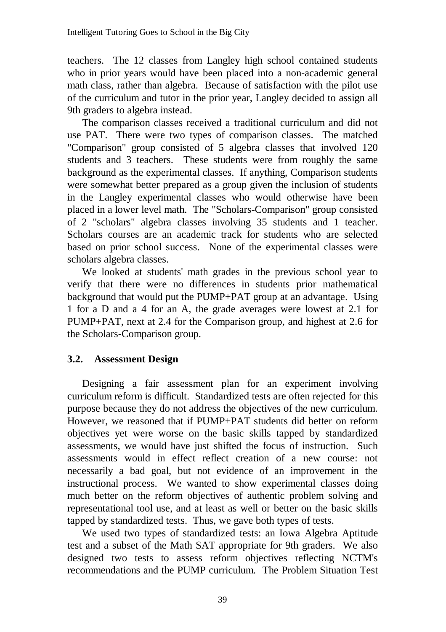teachers. The 12 classes from Langley high school contained students who in prior years would have been placed into a non-academic general math class, rather than algebra. Because of satisfaction with the pilot use of the curriculum and tutor in the prior year, Langley decided to assign all 9th graders to algebra instead.

The comparison classes received a traditional curriculum and did not use PAT. There were two types of comparison classes. The matched "Comparison" group consisted of 5 algebra classes that involved 120 students and 3 teachers. These students were from roughly the same background as the experimental classes. If anything, Comparison students were somewhat better prepared as a group given the inclusion of students in the Langley experimental classes who would otherwise have been placed in a lower level math. The "Scholars-Comparison" group consisted of 2 "scholars" algebra classes involving 35 students and 1 teacher. Scholars courses are an academic track for students who are selected based on prior school success. None of the experimental classes were scholars algebra classes.

We looked at students' math grades in the previous school year to verify that there were no differences in students prior mathematical background that would put the PUMP+PAT group at an advantage. Using 1 for a D and a 4 for an A, the grade averages were lowest at 2.1 for PUMP+PAT, next at 2.4 for the Comparison group, and highest at 2.6 for the Scholars-Comparison group.

# **3.2. Assessment Design**

Designing a fair assessment plan for an experiment involving curriculum reform is difficult. Standardized tests are often rejected for this purpose because they do not address the objectives of the new curriculum. However, we reasoned that if PUMP+PAT students did better on reform objectives yet were worse on the basic skills tapped by standardized assessments, we would have just shifted the focus of instruction. Such assessments would in effect reflect creation of a new course: not necessarily a bad goal, but not evidence of an improvement in the instructional process. We wanted to show experimental classes doing much better on the reform objectives of authentic problem solving and representational tool use, and at least as well or better on the basic skills tapped by standardized tests. Thus, we gave both types of tests.

We used two types of standardized tests: an Iowa Algebra Aptitude test and a subset of the Math SAT appropriate for 9th graders. We also designed two tests to assess reform objectives reflecting NCTM's recommendations and the PUMP curriculum. The Problem Situation Test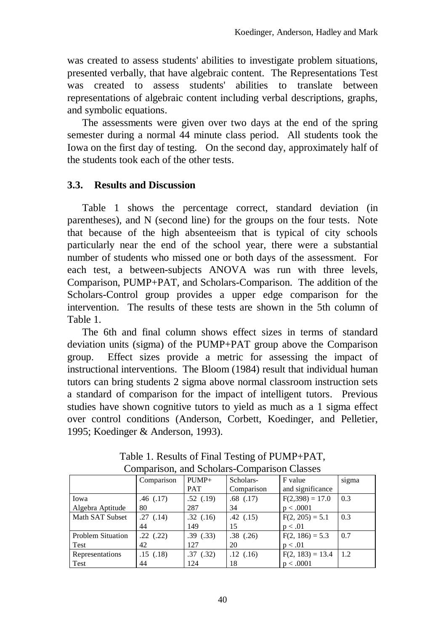was created to assess students' abilities to investigate problem situations, presented verbally, that have algebraic content. The Representations Test was created to assess students' abilities to translate between representations of algebraic content including verbal descriptions, graphs, and symbolic equations.

The assessments were given over two days at the end of the spring semester during a normal 44 minute class period. All students took the Iowa on the first day of testing. On the second day, approximately half of the students took each of the other tests.

# **3.3. Results and Discussion**

Table 1 shows the percentage correct, standard deviation (in parentheses), and N (second line) for the groups on the four tests. Note that because of the high absenteeism that is typical of city schools particularly near the end of the school year, there were a substantial number of students who missed one or both days of the assessment. For each test, a between-subjects ANOVA was run with three levels, Comparison, PUMP+PAT, and Scholars-Comparison. The addition of the Scholars-Control group provides a upper edge comparison for the intervention. The results of these tests are shown in the 5th column of Table 1.

The 6th and final column shows effect sizes in terms of standard deviation units (sigma) of the PUMP+PAT group above the Comparison group. Effect sizes provide a metric for assessing the impact of instructional interventions. The Bloom (1984) result that individual human tutors can bring students 2 sigma above normal classroom instruction sets a standard of comparison for the impact of intelligent tutors. Previous studies have shown cognitive tutors to yield as much as a 1 sigma effect over control conditions (Anderson, Corbett, Koedinger, and Pelletier, 1995; Koedinger & Anderson, 1993).

|                          | Comparison | $PUMP+$    | Scholars-     | F value            | sigma |
|--------------------------|------------|------------|---------------|--------------------|-------|
|                          |            | <b>PAT</b> | Comparison    | and significance   |       |
| Iowa                     | .46(.17)   | .52(.19)   | $.68$ $(.17)$ | $F(2,398) = 17.0$  | 0.3   |
| Algebra Aptitude         | 80         | 287        | 34            | p < .0001          |       |
| Math SAT Subset          | .27(.14)   | .32(.16)   | .42(.15)      | $F(2, 205) = 5.1$  | 0.3   |
|                          | 44         | 149        | 15            | p < .01            |       |
| <b>Problem Situation</b> | .22(.22)   | .39(.33)   | $.38$ $(.26)$ | $F(2, 186) = 5.3$  | 0.7   |
| Test                     | 42         | 127        | 20            | p < .01            |       |
| Representations          | .15(0.18)  | .37(.32)   | .12(.16)      | $F(2, 183) = 13.4$ | 1.2   |
| Test                     | 44         | 124        | 18            | p < .0001          |       |

Table 1. Results of Final Testing of PUMP+PAT, Comparison, and Scholars-Comparison Classes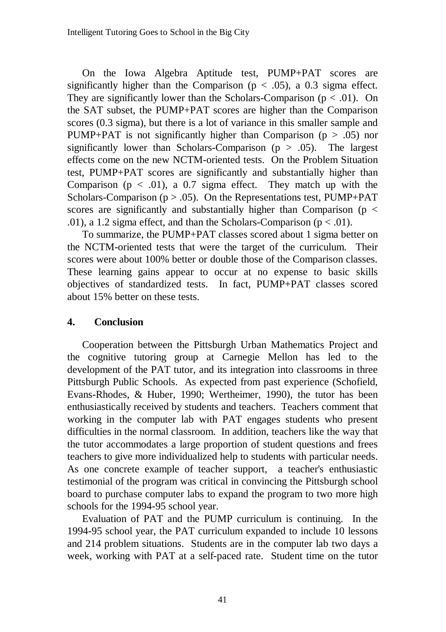On the Iowa Algebra Aptitude test, PUMP+PAT scores are significantly higher than the Comparison ( $p < .05$ ), a 0.3 sigma effect. They are significantly lower than the Scholars-Comparison ( $p < .01$ ). On the SAT subset, the PUMP+PAT scores are higher than the Comparison scores (0.3 sigma), but there is a lot of variance in this smaller sample and PUMP+PAT is not significantly higher than Comparison ( $p > .05$ ) nor significantly lower than Scholars-Comparison ( $p > .05$ ). The largest effects come on the new NCTM-oriented tests. On the Problem Situation test, PUMP+PAT scores are significantly and substantially higher than Comparison ( $p < .01$ ), a 0.7 sigma effect. They match up with the Scholars-Comparison ( $p > .05$ ). On the Representations test, PUMP+PAT scores are significantly and substantially higher than Comparison ( $p <$ .01), a 1.2 sigma effect, and than the Scholars-Comparison ( $p < .01$ ).

To summarize, the PUMP+PAT classes scored about 1 sigma better on the NCTM-oriented tests that were the target of the curriculum. Their scores were about 100% better or double those of the Comparison classes. These learning gains appear to occur at no expense to basic skills objectives of standardized tests. In fact, PUMP+PAT classes scored about 15% better on these tests.

### **4. Conclusion**

Cooperation between the Pittsburgh Urban Mathematics Project and the cognitive tutoring group at Carnegie Mellon has led to the development of the PAT tutor, and its integration into classrooms in three Pittsburgh Public Schools. As expected from past experience (Schofield, Evans-Rhodes, & Huber, 1990; Wertheimer, 1990), the tutor has been enthusiastically received by students and teachers. Teachers comment that working in the computer lab with PAT engages students who present difficulties in the normal classroom. In addition, teachers like the way that the tutor accommodates a large proportion of student questions and frees teachers to give more individualized help to students with particular needs. As one concrete example of teacher support, a teacher's enthusiastic testimonial of the program was critical in convincing the Pittsburgh school board to purchase computer labs to expand the program to two more high schools for the 1994-95 school year.

Evaluation of PAT and the PUMP curriculum is continuing. In the 1994-95 school year, the PAT curriculum expanded to include 10 lessons and 214 problem situations. Students are in the computer lab two days a week, working with PAT at a self-paced rate. Student time on the tutor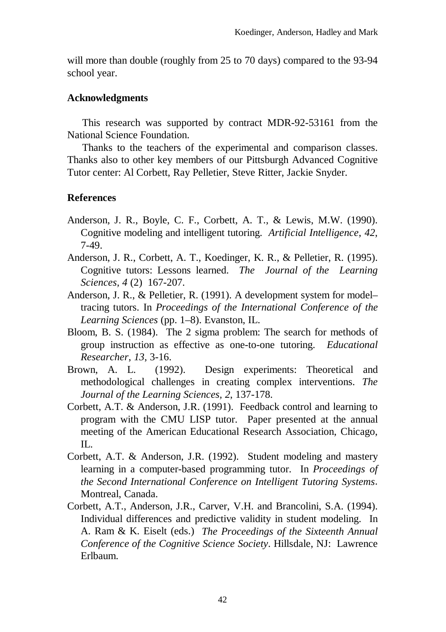will more than double (roughly from 25 to 70 days) compared to the 93-94 school year.

#### **Acknowledgments**

This research was supported by contract MDR-92-53161 from the National Science Foundation.

Thanks to the teachers of the experimental and comparison classes. Thanks also to other key members of our Pittsburgh Advanced Cognitive Tutor center: Al Corbett, Ray Pelletier, Steve Ritter, Jackie Snyder.

## **References**

- Anderson, J. R., Boyle, C. F., Corbett, A. T., & Lewis, M.W. (1990). Cognitive modeling and intelligent tutoring. *Artificial Intelligence*, *42*, 7-49.
- Anderson, J. R., Corbett, A. T., Koedinger, K. R., & Pelletier, R. (1995). Cognitive tutors: Lessons learned. *The Journal of the Learning Sciences, 4* (2) 167-207.
- Anderson, J. R., & Pelletier, R. (1991). A development system for model– tracing tutors. In *Proceedings of the International Conference of the Learning Sciences* (pp. 1–8). Evanston, IL.
- Bloom, B. S. (1984). The 2 sigma problem: The search for methods of group instruction as effective as one-to-one tutoring. *Educational Researcher*, *13*, 3-16.
- Brown, A. L. (1992). Design experiments: Theoretical and methodological challenges in creating complex interventions. *The Journal of the Learning Sciences, 2*, 137-178.
- Corbett, A.T. & Anderson, J.R. (1991). Feedback control and learning to program with the CMU LISP tutor. Paper presented at the annual meeting of the American Educational Research Association, Chicago, IL.
- Corbett, A.T. & Anderson, J.R. (1992). Student modeling and mastery learning in a computer-based programming tutor. In *Proceedings of the Second International Conference on Intelligent Tutoring Systems*. Montreal, Canada.
- Corbett, A.T., Anderson, J.R., Carver, V.H. and Brancolini, S.A. (1994). Individual differences and predictive validity in student modeling. In A. Ram & K. Eiselt (eds.) *The Proceedings of the Sixteenth Annual Conference of the Cognitive Science Society*. Hillsdale, NJ: Lawrence Erlbaum.